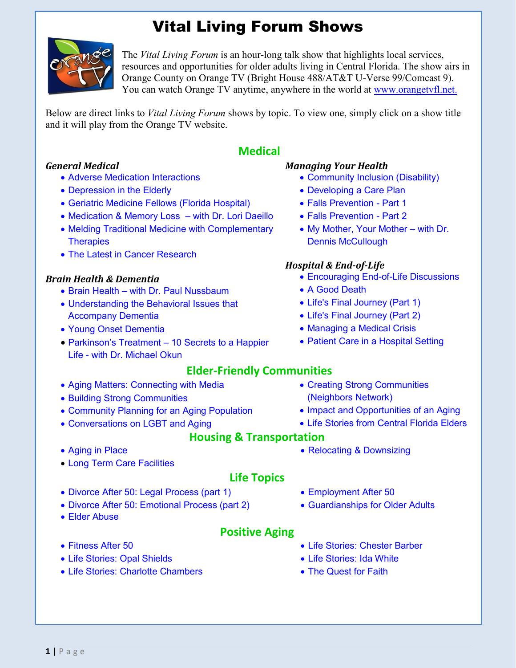## Vital Living Forum Shows



The *Vital Living Forum* is an hour-long talk show that highlights local services, resources and opportunities for older adults living in Central Florida. The show airs in Orange County on Orange TV (Bright House 488/AT&T U-Verse 99/Comcast 9). You can watch Orange TV anytime, anywhere in the world at [www.orangetvfl.net.](http://www.orangetvfl.net/) 

Below are direct links to *Vital Living Forum* shows by topic. To view one, simply click on a show title and it will play from the Orange TV website.

#### *General Medical*

- [Adverse Medication Interactions](http://www.orangetv1.net/vital-living-forum/adverse-medication-interactions-video_38e424d0f.html)
- [Depression in the Elderly](http://www.orangetv1.net/vital-living-forum/depression-in-the-elderly-video_c0fff2ec0.html)
- [Geriatric Medicine Fellows \(Florida Hospital\)](http://www.orangetv1.net/vital-living-forum/geriatric-fellowship-program-video_2a214dbe7.html)
- [Medication & Memory Loss –](http://www.orangetv1.net/vital-living-forum/medication-and-memory-loss-video_4e4f9d30d.html) with Dr. Lori Daeillo
- [Melding Traditional Medicine with Complementary](http://www.orangetv1.net/vital-living-forum/melding-traditional-medicine-with-alternative-therapies-video_8a09e5f78.html)  **Therapies**
- [The Latest in Cancer Research](http://www.orangetv1.net/vital-living-forum/the-latest-in-cancer-research-video_b4e1c8b36.html)

#### *Brain Health & Dementia*

- Brain Health [with Dr. Paul Nussbaum](http://www.orangetv1.net/vital-living-forum/brain-health-with-dr-paul-nussbaum-video_f32d081be.html)
- [Understanding the Behavioral Issues that](http://www.orangetv1.net/vital-living-forum/understanding-behavioral-issues-that-accompany-dementia-video_be65771e2.html)  Accompany Dementia
- [Young Onset Dementia](http://www.orangetv1.net/vital-living-forum/young-onset-dementia-video_795b4be72.html)
- [Parkinson's Treatment –](http://www.orangetv1.net/vital-living-forum/parkinsons-treatment-10-secrets-to-a-healthier-life-video_7d27a6a5e.html) 10 Secrets to a Happier Life - with Dr. Michael Okun

#### • [Aging Matters: Connecting with Media](http://www.orangetv1.net/vital-living-forum/aging-matters-connecting-with-the-media-video_1ec0fd480.html)

- [Building Strong Communities](http://www.orangetv1.net/vital-living-forum/building-strong-communities-video_51dc60253.htmlhttp:/www.orangetv1.net/vital-living-forum/building-strong-communities-video_51dc60253.html)
- [Community Planning for an Aging Population](http://www.orangetv1.net/vital-living-forum/community-planning-for-an-aging-population-video_7443be17e.html)
- [Conversations on LGBT and Aging](http://www.orangetv1.net/vital-living-forum/conversations-on-lgbt-aging-video_07d65d0d5.html)
- [Aging in Place](http://www.orangetv1.net/vital-living-forum/aging-in-place-in-the-home-video_40b92534f.html)
- [Long Term Care Facilities](http://www.orangetvfl.net/watch.php?vid=9c6be857a)

# **Medical**

#### *Managing Your Health*

- [Community Inclusion \(Disability\)](http://www.orangetv1.net/vital-living-forum/community-inclusion-video_7592ccf47.html)
- [Developing a Care Plan](http://www.orangetvfl.net/watch.php?vid=a9cf87b46)
- [Falls Prevention -](http://www.orangetv1.net/vital-living-forum/falls-prevention-part-one-video_f73c7f667.html) Part 1
- [Falls Prevention -](http://www.orangetv1.net/vital-living-forum/falls-prevention-part-two-video_5d2389159.html) Part 2
- [My Mother, Your Mother –](http://www.orangetv1.net/vital-living-forum/my-mother-your-mother-video_994577dcd.html) with Dr. Dennis McCullough

#### *Hospital & End-of-Life*

- [Encouraging End-of-Life Discussions](http://www.orangetvfl.net/watch.php?vid=852938be9)
- [A Good Death](http://www.orangetv1.net/vital-living-forum/a-good-death-video_7698f567f.html)
- [Life's Final Journey \(Part 1\)](http://www.orangetv1.net/vital-living-forum/lifes-final-journey-part-1-video_16db8ac7e.html)
- [Life's Final Journey \(Part 2\)](http://www.orangetv1.net/vital-living-forum/lifes-final-journey-part-2-video_f6684bb18.html)
- [Managing a Medical Crisis](http://www.orangetv1.net/vital-living-forum/managing-a-medical-crisis-video_c1e2d1a68.html)
- [Patient Care in a Hospital Setting](http://www.orangetvfl.net/watch.php?vid=cdaf104a0)

#### **Elder-Friendly Communities** [Creating Strong Communities](http://www.orangetv1.net/vital-living-forum/creating-communities-for-aging-at-home-video_b7bf76d9f.html)  (Neighbors Network)

- Impact and Opportunities of an Aging
- [Life Stories from Central Florida Elders](http://www.orangetv1.net/vital-living-forum/life-stories-from-central-florida-elders-video_248c87466.html)

### **Housing & Transportation**

• [Relocating & Downsizing](http://www.orangetv1.net/vital-living-forum/relocating-and-downsizing-as-you-get-older-video_0aa358d14.html)

### **Life Topics**

**Positive Aging**

- [Divorce After 50: Legal Process \(part 1\)](http://www.orangetv1.net/vital-living-forum/divorce-over-the-age-50-part-1-video_67ce677f8.html)
- [Divorce After 50: Emotional Process \(part 2\)](http://www.orangetv1.net/vital-living-forum/divorce-after-50-part-2-the-emotional-process-video_b0c234c6d.html)
- [Elder Abuse](http://www.orangetvfl.net/watch.php?vid=cd929a9f7)
- [Fitness After 50](http://www.orangetv1.net/vital-living-forum/fitness-after-50-video_5f91f05ae.html)
- [Life Stories: Opal Shields](http://www.orangetvfl.net/watch.php?vid=df707640d)
- [Life Stories: Charlotte Chambers](http://www.orangetvfl.net/watch.php?vid=c905b8134)
- [Employment After 50](http://www.orangetv1.net/vital-living-forum/employment-after-50-video_7a567db6c.html)
- [Guardianships for Older Adults](http://www.orangetvfl.net/watch.php?vid=0dbc2b33e)
- [Life Stories: Chester Barber](http://www.orangetvfl.net/watch.php?vid=61603b884)
- [Life Stories: Ida White](http://www.orangetvfl.net/watch.php?vid=2a838231d)
- [The Quest for Faith](http://www.orangetv1.net/vital-living-forum/quest-for-faith-video_868205ea7.html)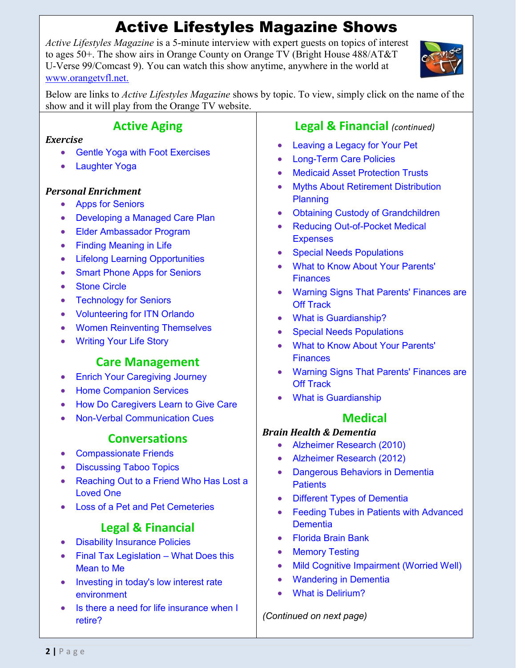# Active Lifestyles Magazine Shows

*Active Lifestyles Magazine* is a 5-minute interview with expert guests on topics of interest to ages 50+. The show airs in Orange County on Orange TV (Bright House 488/AT&T U-Verse 99/Comcast 9). You can watch this show anytime, anywhere in the world at [www.orangetvfl.net.](http://www.orangetvfl.net/)



Below are links to *Active Lifestyles Magazine* shows by topic. To view, simply click on the name of the show and it will play from the Orange TV website.

### **Active Aging**

#### *Exercise*

- [Gentle Yoga with Foot Exercises](http://www.orangetv1.net/active-lifestyles/gentle-yoga-video_759ca5be3.html)
- [Laughter Yoga](http://www.orangetv1.net/active-lifestyles/laughter-yoga-video_a390228a8.html)

### *Personal Enrichment*

- [Apps for Seniors](http://www.orangetvfl.net/watch.php?vid=7a6c2e87c)
- [Developing a Managed Care Plan](http://www.orangetv1.net/active-lifestyles/developing-a-managed-care-plan-video_70c653b74.html)
- [Elder Ambassador Program](http://www.orangetvfl.net/watch.php?vid=ddcdfef27)
- [Finding Meaning in Life](http://www.orangetv1.net/active-lifestyles/finding-meaning-in-life-video_dab138884.html)
- [Lifelong Learning Opportunities](http://www.orangetv1.net/active-lifestyles/lifelong-learning-opportunities-video_b47a4a02d.html)
- Smart [Phone Apps for Seniors](http://www.orangetv1.net/active-lifestyles/smart-phone-apps-for-seniors-video_2733829f2.html)
- [Stone Circle](http://www.orangetvfl.net/watch.php?vid=4ec1ecfd3)
- [Technology for Seniors](http://www.orangetvfl.net/watch.php?vid=10fdc5181)
- [Volunteering for ITN Orlando](http://www.orangetv1.net/active-lifestyles/itn-orlando-volunteer-video_00af8a2c0.html)
- [Women Reinventing Themselves](http://www.orangetv1.net/active-lifestyles/reinvent-yourself-video_1ef5e611c.html)
- [Writing Your Life Story](http://www.orangetv1.net/active-lifestyles/learn-how-to-write-your-life-video_ddbddbd65.html)

### **Care Management**

- [Enrich Your Caregiving Journey](http://www.orangetv1.net/active-lifestyles/enrich-your-caregiving-journey-video_b53f9d959.html)
- [Home Companion Services](http://www.orangetv1.net/active-lifestyles/selecting-a-home-companion-video_5fc44799f.html)
- [How Do Caregivers Learn to Give Care](http://www.orangetv1.net/active-lifestyles/how-caregivers-learn-to-give-care-video_005c43e35.html)
- [Non-Verbal Communication Cues](http://www.orangetv1.net/active-lifestyles/non-verbal-communication-video_b6cbdf67d.html)

### **Conversations**

- [Compassionate Friends](http://www.orangetv1.net/active-lifestyles/the-compassionate-friends-video_d84551a1e.html)
- [Discussing Taboo Topics](http://www.orangetv1.net/active-lifestyles/discussing-taboo-topics-video_59f49707e.html)
- Reaching Out to a Friend Who Has Lost a Loved One
- [Loss of a Pet and Pet Cemeteries](http://www.orangetv1.net/active-lifestyles/dealing-with-the-loss-of-a-pet-video_040fb8b12.html)

### **Legal & Financial**

- [Disability Insurance Policies](http://www.orangetv1.net/active-lifestyles/disability-insurance-policies-video_c1d465058.html)
- [Final Tax Legislation –](http://www.orangetv1.net/active-lifestyles/final-tax-legislation-video_b03e2ded3.html) What Does this Mean to Me
- Investing in today's low interest rate environment
- Is there a need for life insurance when I retire?

### **Legal & Financial** *(continued)*

- Leaving a Legacy for Your Pet
- [Long-Term Care Policies](http://www.orangetv1.net/active-lifestyles/long-term-care-policies-video_22f2570e1.html)
- [Medicaid Asset Protection Trusts](http://www.orangetv1.net/active-lifestyles/medicaid-asset-protection-trusts-video_4cc14bcda.html)
- [Myths About Retirement Distribution](http://www.orangetv1.net/active-lifestyles/retirement-distribution-planning-video_75db4cf61.html)  Planning
- [Obtaining Custody of Grandchildren](http://www.orangetv1.net/active-lifestyles/helping-grandparents-obtain-custody-of-their-grandchildren-video_ee3b84463.html)
- Reducing Out-of-Pocket Medical **Expenses**
- [Special Needs Populations](http://www.orangetv1.net/active-lifestyles/special-needs-population-video_1b75dca7f.html)
- [What to Know About Your Parents'](http://www.orangetv1.net/active-lifestyles/your-parents-finances-video_825b3e13d.html)  **Finances**
- [Warning Signs That Parents' Finances are](http://www.orangetv1.net/active-lifestyles/are-your-parent-video_1c368376b.html)  **Off Track**
- [What is Guardianship?](http://www.orangetvfl.net/watch.php?vid=8180fb96d)
- [Special Needs Populations](http://www.orangetv1.net/active-lifestyles/special-needs-population-video_1b75dca7f.html)
- [What to Know About Your Parents'](http://www.orangetv1.net/active-lifestyles/your-parents-finances-video_825b3e13d.html)  **Finances**
- [Warning Signs That Parents' Finances are](http://www.orangetv1.net/active-lifestyles/are-your-parent-video_1c368376b.html)  **Off Track**
- [What is Guardianship](http://www.orangetvfl.net/watch.php?vid=8180fb96d)

### **Medical**

#### *Brain Health & Dementia*

- [Alzheimer Research \(2010\)](http://www.orangetv1.net/active-lifestyles/new-alzheimers-research-video_ea22e54f3.html)
- [Alzheimer Research \(2012\)](http://www.orangetv1.net/active-lifestyles/new-alzheimer-video_5cc3613f2.html)
- [Dangerous Behaviors in Dementia](http://www.orangetvfl.net/watch.php?vid=4a49d8b8c)  **Patients**
- [Different Types of Dementia](http://www.orangetv1.net/active-lifestyles/types-of-dementia-video_2adee1751.html)
- Feeding Tubes in Patients with Advanced **Dementia**
- [Florida Brain Bank](http://www.orangetv1.net/active-lifestyles/florida-brain-bank-video_c1d43452c.html)
- [Memory Testing](http://www.orangetv1.net/active-lifestyles/memory-testing-video_41070499f.html)
- [Mild Cognitive Impairment \(Worried Well\)](http://www.orangetv1.net/active-lifestyles/mild-cognitive-impairment-video_2f5e045a7.html)
- [Wandering in Dementia](http://www.orangetv1.net/active-lifestyles/wandering-in-dementia-video_fb7b59f35.html)
- [What is Delirium?](http://www.orangetv1.net/active-lifestyles/delirium-video_33189747a.html)

*(Continued on next page)*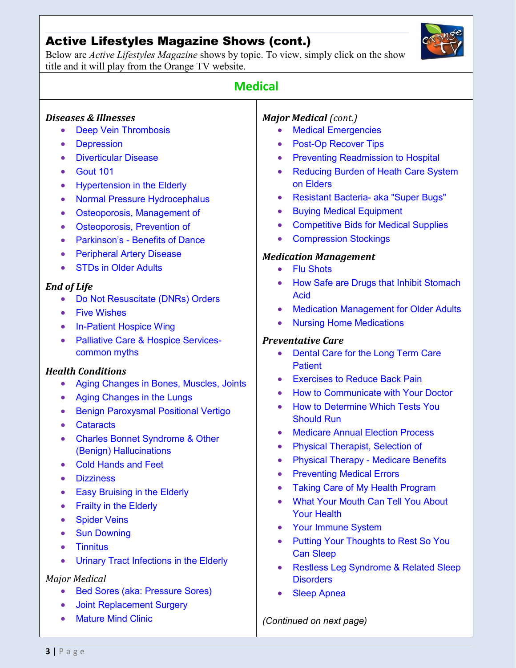### Active Lifestyles Magazine Shows (cont.)

Below are *Active Lifestyles Magazine* shows by topic. To view, simply click on the show title and it will play from the Orange TV website.



| <b>Medical</b>                                                                                                                                                                                                                                                                                                                                                                                                                                                                                                                                                                                                                                                                                                                                                               |                                                                                                                                                                                                                                                                                                                                                                                                                                                                                                                                                                                                                                                                                                                                                                                                                                                                                                                                                                                |
|------------------------------------------------------------------------------------------------------------------------------------------------------------------------------------------------------------------------------------------------------------------------------------------------------------------------------------------------------------------------------------------------------------------------------------------------------------------------------------------------------------------------------------------------------------------------------------------------------------------------------------------------------------------------------------------------------------------------------------------------------------------------------|--------------------------------------------------------------------------------------------------------------------------------------------------------------------------------------------------------------------------------------------------------------------------------------------------------------------------------------------------------------------------------------------------------------------------------------------------------------------------------------------------------------------------------------------------------------------------------------------------------------------------------------------------------------------------------------------------------------------------------------------------------------------------------------------------------------------------------------------------------------------------------------------------------------------------------------------------------------------------------|
| <b>Diseases &amp; Illnesses</b><br><b>Deep Vein Thrombosis</b><br>$\bullet$<br><b>Depression</b><br>$\bullet$<br><b>Diverticular Disease</b><br><b>Gout 101</b><br><b>Hypertension in the Elderly</b><br>$\bullet$<br><b>Normal Pressure Hydrocephalus</b><br>$\bullet$<br>Osteoporosis, Management of<br>$\bullet$<br>Osteoporosis, Prevention of<br>$\bullet$<br><b>Parkinson's - Benefits of Dance</b><br><b>Peripheral Artery Disease</b><br><b>STDs in Older Adults</b>                                                                                                                                                                                                                                                                                                 | <b>Major Medical (cont.)</b><br><b>Medical Emergencies</b><br><b>Post-Op Recover Tips</b><br><b>Preventing Readmission to Hospital</b><br>$\bullet$<br><b>Reducing Burden of Heath Care System</b><br>$\bullet$<br>on Elders<br><b>Resistant Bacteria- aka "Super Bugs"</b><br>$\bullet$<br><b>Buying Medical Equipment</b><br>$\bullet$<br><b>Competitive Bids for Medical Supplies</b><br>$\bullet$<br><b>Compression Stockings</b><br>$\bullet$<br><b>Medication Management</b><br><b>Flu Shots</b>                                                                                                                                                                                                                                                                                                                                                                                                                                                                         |
| <b>End of Life</b><br>Do Not Resuscitate (DNRs) Orders<br><b>Five Wishes</b><br>$\bullet$<br><b>In-Patient Hospice Wing</b><br>$\bullet$<br><b>Palliative Care &amp; Hospice Services-</b><br>common myths<br><b>Health Conditions</b><br>Aging Changes in Bones, Muscles, Joints<br>$\bullet$<br>Aging Changes in the Lungs<br>$\bullet$<br><b>Benign Paroxysmal Positional Vertigo</b><br><b>Cataracts</b><br><b>Charles Bonnet Syndrome &amp; Other</b><br>(Benign) Hallucinations<br><b>Cold Hands and Feet</b><br><b>Dizziness</b><br>$\bullet$<br><b>Easy Bruising in the Elderly</b><br><b>Frailty in the Elderly</b><br><b>Spider Veins</b><br><b>Sun Downing</b><br><b>Tinnitus</b><br>Urinary Tract Infections in the Elderly<br>$\bullet$<br><b>Major Medical</b> | How Safe are Drugs that Inhibit Stomach<br><b>Acid</b><br><b>Medication Management for Older Adults</b><br>$\bullet$<br><b>Nursing Home Medications</b><br>$\bullet$<br><b>Preventative Care</b><br>Dental Care for the Long Term Care<br>$\bullet$<br><b>Patient</b><br><b>Exercises to Reduce Back Pain</b><br>How to Communicate with Your Doctor<br>$\bullet$<br><b>How to Determine Which Tests You</b><br>$\bullet$<br><b>Should Run</b><br><b>Medicare Annual Election Process</b><br>$\bullet$<br><b>Physical Therapist, Selection of</b><br><b>Physical Therapy - Medicare Benefits</b><br><b>Preventing Medical Errors</b><br>$\bullet$<br><b>Taking Care of My Health Program</b><br>$\bullet$<br><b>What Your Mouth Can Tell You About</b><br>$\bullet$<br><b>Your Health</b><br><b>Your Immune System</b><br><b>Putting Your Thoughts to Rest So You</b><br><b>Can Sleep</b><br><b>Restless Leg Syndrome &amp; Related Sleep</b><br>$\bullet$<br><b>Disorders</b> |
| <b>Bed Sores (aka: Pressure Sores)</b><br>$\bullet$<br><b>Joint Replacement Surgery</b><br>$\bullet$<br><b>Mature Mind Clinic</b><br>$\bullet$                                                                                                                                                                                                                                                                                                                                                                                                                                                                                                                                                                                                                               | <b>Sleep Apnea</b><br>(Continued on next page)                                                                                                                                                                                                                                                                                                                                                                                                                                                                                                                                                                                                                                                                                                                                                                                                                                                                                                                                 |